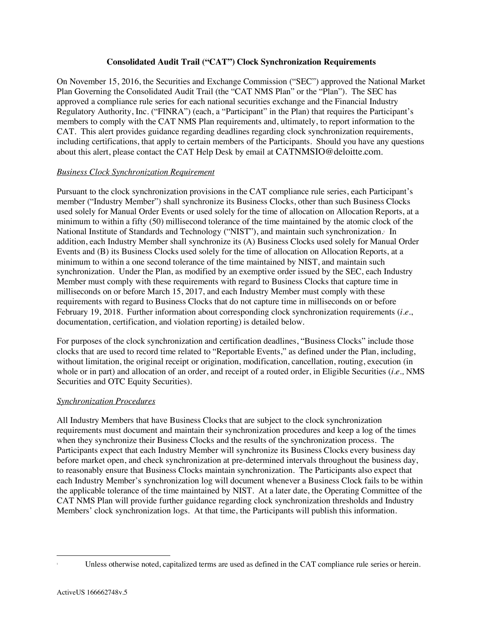## **Consolidated Audit Trail ("CAT") Clock Synchronization Requirements**

On November 15, 2016, the Securities and Exchange Commission ("SEC") approved the National Market Plan Governing the Consolidated Audit Trail (the "CAT NMS Plan" or the "Plan"). The SEC has approved a compliance rule series for each national securities exchange and the Financial Industry Regulatory Authority, Inc. ("FINRA") (each, a "Participant" in the Plan) that requires the Participant's members to comply with the CAT NMS Plan requirements and, ultimately, to report information to the CAT. This alert provides guidance regarding deadlines regarding clock synchronization requirements, including certifications, that apply to certain members of the Participants. Should you have any questions about this alert, please contact the CAT Help Desk by email at CATNMSIO@deloitte.com.

# *Business Clock Synchronization Requirement*

Pursuant to the clock synchronization provisions in the CAT compliance rule series, each Participant's member ("Industry Member") shall synchronize its Business Clocks, other than such Business Clocks used solely for Manual Order Events or used solely for the time of allocation on Allocation Reports, at a minimum to within a fifty (50) millisecond tolerance of the time maintained by the atomic clock of the National Institute of Standards and Technology ("NIST"), and maintain such synchronization. In addition, each Industry Member shall synchronize its (A) Business Clocks used solely for Manual Order Events and (B) its Business Clocks used solely for the time of allocation on Allocation Reports, at a minimum to within a one second tolerance of the time maintained by NIST, and maintain such synchronization. Under the Plan, as modified by an exemptive order issued by the SEC, each Industry Member must comply with these requirements with regard to Business Clocks that capture time in milliseconds on or before March 15, 2017, and each Industry Member must comply with these requirements with regard to Business Clocks that do not capture time in milliseconds on or before February 19, 2018. Further information about corresponding clock synchronization requirements (*i.e*., documentation, certification, and violation reporting) is detailed below.

For purposes of the clock synchronization and certification deadlines, "Business Clocks" include those clocks that are used to record time related to "Reportable Events," as defined under the Plan, including, without limitation, the original receipt or origination, modification, cancellation, routing, execution (in whole or in part) and allocation of an order, and receipt of a routed order, in Eligible Securities (*i.e.,* NMS Securities and OTC Equity Securities).

#### *Synchronization Procedures*

All Industry Members that have Business Clocks that are subject to the clock synchronization requirements must document and maintain their synchronization procedures and keep a log of the times when they synchronize their Business Clocks and the results of the synchronization process. The Participants expect that each Industry Member will synchronize its Business Clocks every business day before market open, and check synchronization at pre-determined intervals throughout the business day, to reasonably ensure that Business Clocks maintain synchronization. The Participants also expect that each Industry Member's synchronization log will document whenever a Business Clock fails to be within the applicable tolerance of the time maintained by NIST. At a later date, the Operating Committee of the CAT NMS Plan will provide further guidance regarding clock synchronization thresholds and Industry Members' clock synchronization logs. At that time, the Participants will publish this information.

Unless otherwise noted, capitalized terms are used as defined in the CAT compliance rule series or herein.